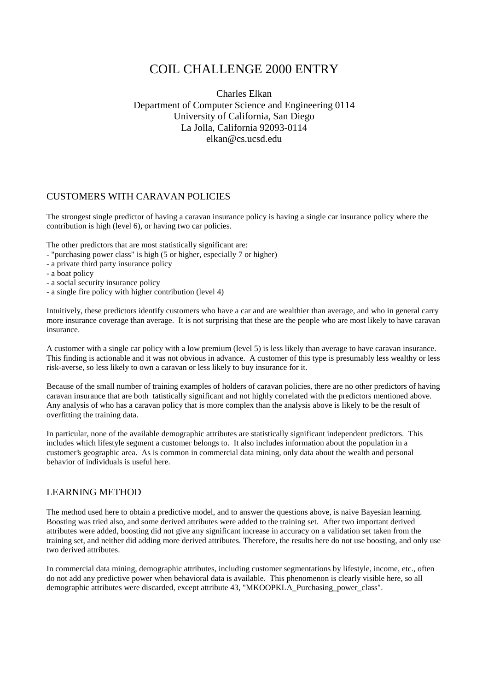## COIL CHALLENGE 2000 ENTRY

Charles Elkan Department of Computer Science and Engineering 0114 University of California, San Diego La Jolla, California 92093-0114 elkan@cs.ucsd.edu

## CUSTOMERS WITH CARAVAN POLICIES

The strongest single predictor of having a caravan insurance policy is having a single car insurance policy where the contribution is high (level 6), or having two car policies.

The other predictors that are most statistically significant are:

- "purchasing power class" is high (5 or higher, especially 7 or higher)
- a private third party insurance policy
- a boat policy
- a social security insurance policy
- a single fire policy with higher contribution (level 4)

Intuitively, these predictors identify customers who have a car and are wealthier than average, and who in general carry more insurance coverage than average. It is not surprising that these are the people who are most likely to have caravan insurance.

A customer with a single car policy with a low premium (level 5) is less likely than average to have caravan insurance. This finding is actionable and it was not obvious in advance. A customer of this type is presumably less wealthy or less risk-averse, so less likely to own a caravan or less likely to buy insurance for it.

Because of the small number of training examples of holders of caravan policies, there are no other predictors of having caravan insurance that are both tatistically significant and not highly correlated with the predictors mentioned above. Any analysis of who has a caravan policy that is more complex than the analysis above is likely to be the result of overfitting the training data.

In particular, none of the available demographic attributes are statistically significant independent predictors. This includes which lifestyle segment a customer belongs to. It also includes information about the population in a customer's geographic area. As is common in commercial data mining, only data about the wealth and personal behavior of individuals is useful here.

## LEARNING METHOD

The method used here to obtain a predictive model, and to answer the questions above, is naive Bayesian learning. Boosting was tried also, and some derived attributes were added to the training set. After two important derived attributes were added, boosting did not give any significant increase in accuracy on a validation set taken from the training set, and neither did adding more derived attributes. Therefore, the results here do not use boosting, and only use two derived attributes.

In commercial data mining, demographic attributes, including customer segmentations by lifestyle, income, etc., often do not add any predictive power when behavioral data is available. This phenomenon is clearly visible here, so all demographic attributes were discarded, except attribute 43, "MKOOPKLA\_Purchasing\_power\_class".